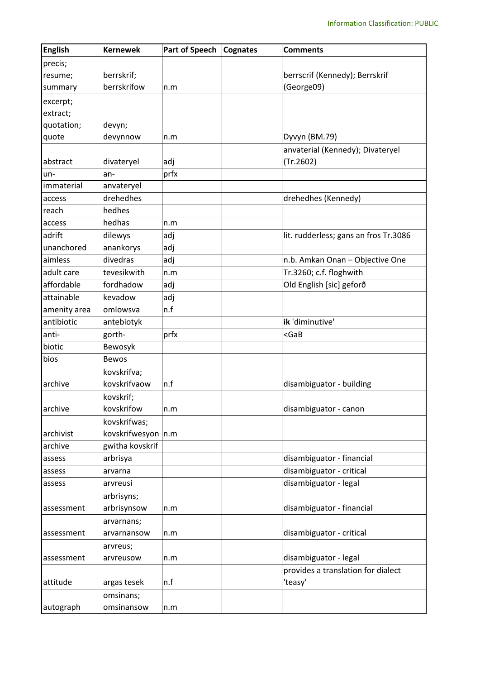| <b>English</b> | <b>Kernewek</b>       | <b>Part of Speech</b> | <b>Cognates</b> | <b>Comments</b>                               |
|----------------|-----------------------|-----------------------|-----------------|-----------------------------------------------|
| precis;        |                       |                       |                 |                                               |
| resume;        | berrskrif;            |                       |                 | berrscrif (Kennedy); Berrskrif                |
| summary        | berrskrifow           | n.m                   |                 | (George09)                                    |
| excerpt;       |                       |                       |                 |                                               |
| extract;       |                       |                       |                 |                                               |
| quotation;     | devyn;                |                       |                 |                                               |
| quote          | devynnow              | n.m                   |                 | Dyvyn (BM.79)                                 |
| abstract       | divateryel            | adj                   |                 | anvaterial (Kennedy); Divateryel<br>(Tr.2602) |
| un-            | an-                   | prfx                  |                 |                                               |
| immaterial     | anvateryel            |                       |                 |                                               |
| access         | drehedhes             |                       |                 | drehedhes (Kennedy)                           |
| reach          | hedhes                |                       |                 |                                               |
| access         | hedhas                | n.m                   |                 |                                               |
| adrift         | dilewys               | adj                   |                 | lit. rudderless; gans an fros Tr.3086         |
| unanchored     | anankorys             | adj                   |                 |                                               |
| aimless        | divedras              | adj                   |                 | n.b. Amkan Onan - Objective One               |
| adult care     | tevesikwith           | n.m                   |                 | Tr.3260; c.f. floghwith                       |
| affordable     | fordhadow             | adj                   |                 | Old English [sic] geforð                      |
| attainable     | kevadow               | adj                   |                 |                                               |
| amenity area   | omlowsva              | n.f                   |                 |                                               |
| antibiotic     | antebiotyk            |                       |                 | ik 'diminutive'                               |
| anti-          | gorth-                | prfx                  |                 | $<$ GaB                                       |
| biotic         | Bewosyk               |                       |                 |                                               |
| bios           | <b>Bewos</b>          |                       |                 |                                               |
|                | kovskrifva;           |                       |                 |                                               |
| archive        | kovskrifvaow          | n.f                   |                 | disambiguator - building                      |
|                | kovskrif;             |                       |                 |                                               |
| archive        | kovskrifow            | n.m                   |                 | disambiguator - canon                         |
|                | kovskrifwas;          |                       |                 |                                               |
| archivist      | kovskrifwesyon   n.m  |                       |                 |                                               |
| archive        | gwitha kovskrif       |                       |                 |                                               |
| assess         | arbrisya              |                       |                 | disambiguator - financial                     |
| assess         | arvarna               |                       |                 | disambiguator - critical                      |
| assess         | arvreusi              |                       |                 | disambiguator - legal                         |
|                | arbrisyns;            |                       |                 |                                               |
| assessment     | arbrisynsow           | n.m                   |                 | disambiguator - financial                     |
|                | arvarnans;            |                       |                 |                                               |
| assessment     | arvarnansow           | n.m                   |                 | disambiguator - critical                      |
|                |                       |                       |                 |                                               |
| assessment     | arvreus;<br>arvreusow | n.m                   |                 | disambiguator - legal                         |
|                |                       |                       |                 | provides a translation for dialect            |
| attitude       | argas tesek           | n.f                   |                 | 'teasy'                                       |
|                | omsinans;             |                       |                 |                                               |
| autograph      | omsinansow            |                       |                 |                                               |
|                |                       | n.m                   |                 |                                               |